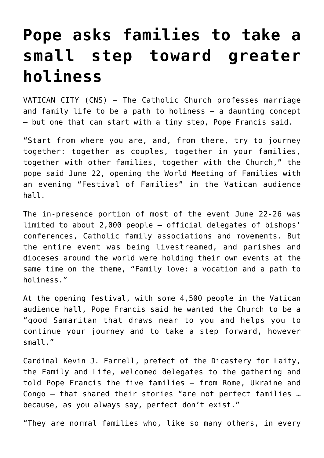## **[Pope asks families to take a](https://www.osvnews.com/2022/06/22/pope-asks-families-to-take-a-small-step-toward-greater-holiness/) [small step toward greater](https://www.osvnews.com/2022/06/22/pope-asks-families-to-take-a-small-step-toward-greater-holiness/) [holiness](https://www.osvnews.com/2022/06/22/pope-asks-families-to-take-a-small-step-toward-greater-holiness/)**

VATICAN CITY (CNS) — The Catholic Church professes marriage and family life to be a path to holiness — a daunting concept — but one that can start with a tiny step, Pope Francis said.

"Start from where you are, and, from there, try to journey together: together as couples, together in your families, together with other families, together with the Church," the pope said June 22, opening the World Meeting of Families with an evening "Festival of Families" in the Vatican audience hall.

The in-presence portion of most of the event June 22-26 was limited to about 2,000 people — official delegates of bishops' conferences, Catholic family associations and movements. But the entire event was being livestreamed, and parishes and dioceses around the world were holding their own events at the same time on the theme, "Family love: a vocation and a path to holiness."

At the opening festival, with some 4,500 people in the Vatican audience hall, Pope Francis said he wanted the Church to be a "good Samaritan that draws near to you and helps you to continue your journey and to take a step forward, however small."

Cardinal Kevin J. Farrell, prefect of the Dicastery for Laity, the Family and Life, welcomed delegates to the gathering and told Pope Francis the five families — from Rome, Ukraine and Congo — that shared their stories "are not perfect families … because, as you always say, perfect don't exist."

"They are normal families who, like so many others, in every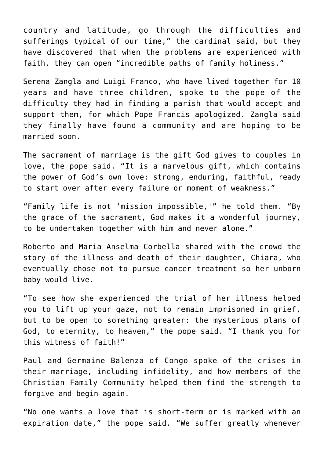country and latitude, go through the difficulties and sufferings typical of our time," the cardinal said, but they have discovered that when the problems are experienced with faith, they can open "incredible paths of family holiness."

Serena Zangla and Luigi Franco, who have lived together for 10 years and have three children, spoke to the pope of the difficulty they had in finding a parish that would accept and support them, for which Pope Francis apologized. Zangla said they finally have found a community and are hoping to be married soon.

The sacrament of marriage is the gift God gives to couples in love, the pope said. "It is a marvelous gift, which contains the power of God's own love: strong, enduring, faithful, ready to start over after every failure or moment of weakness."

"Family life is not 'mission impossible,'" he told them. "By the grace of the sacrament, God makes it a wonderful journey, to be undertaken together with him and never alone."

Roberto and Maria Anselma Corbella shared with the crowd the story of the illness and death of their daughter, Chiara, who eventually chose not to pursue cancer treatment so her unborn baby would live.

"To see how she experienced the trial of her illness helped you to lift up your gaze, not to remain imprisoned in grief, but to be open to something greater: the mysterious plans of God, to eternity, to heaven," the pope said. "I thank you for this witness of faith!"

Paul and Germaine Balenza of Congo spoke of the crises in their marriage, including infidelity, and how members of the Christian Family Community helped them find the strength to forgive and begin again.

"No one wants a love that is short-term or is marked with an expiration date," the pope said. "We suffer greatly whenever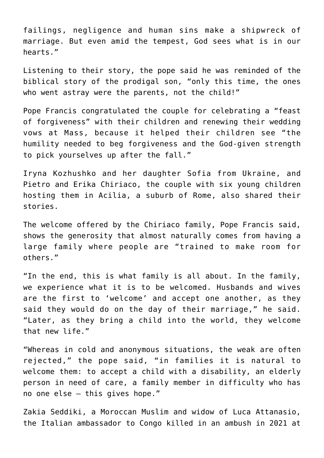failings, negligence and human sins make a shipwreck of marriage. But even amid the tempest, God sees what is in our hearts."

Listening to their story, the pope said he was reminded of the biblical story of the prodigal son, "only this time, the ones who went astray were the parents, not the child!"

Pope Francis congratulated the couple for celebrating a "feast of forgiveness" with their children and renewing their wedding vows at Mass, because it helped their children see "the humility needed to beg forgiveness and the God-given strength to pick yourselves up after the fall."

Iryna Kozhushko and her daughter Sofia from Ukraine, and Pietro and Erika Chiriaco, the couple with six young children hosting them in Acilia, a suburb of Rome, also shared their stories.

The welcome offered by the Chiriaco family, Pope Francis said, shows the generosity that almost naturally comes from having a large family where people are "trained to make room for others."

"In the end, this is what family is all about. In the family, we experience what it is to be welcomed. Husbands and wives are the first to 'welcome' and accept one another, as they said they would do on the day of their marriage," he said. "Later, as they bring a child into the world, they welcome that new life."

"Whereas in cold and anonymous situations, the weak are often rejected," the pope said, "in families it is natural to welcome them: to accept a child with a disability, an elderly person in need of care, a family member in difficulty who has no one else — this gives hope."

Zakia Seddiki, a Moroccan Muslim and widow of Luca Attanasio, the Italian ambassador to Congo killed in an ambush in 2021 at